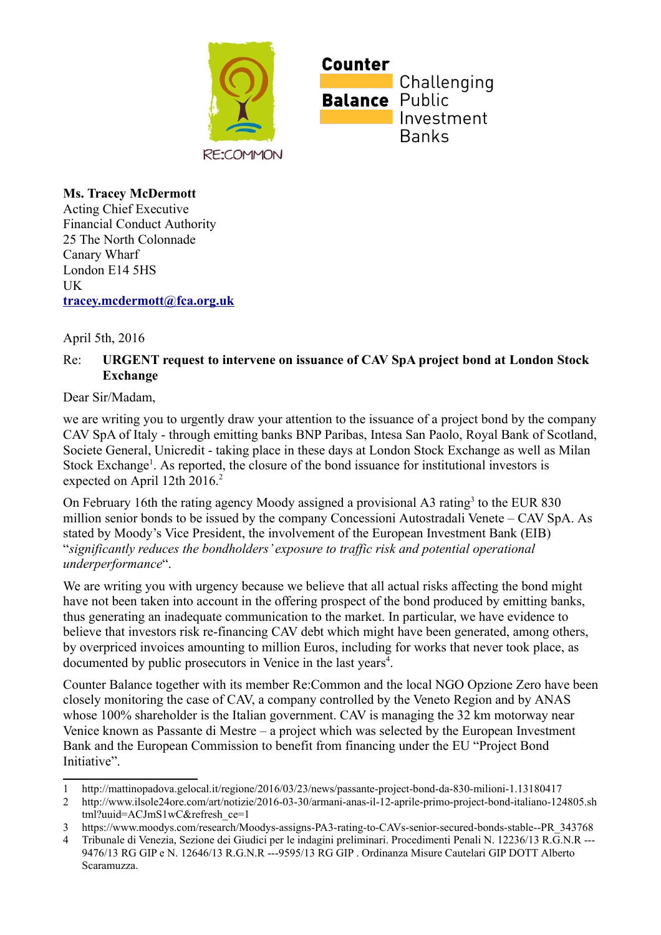

**Ms. Tracey McDermott** Acting Chief Executive Financial Conduct Authority 25 The North Colonnade Canary Wharf London E14 5HS **IK** 

**[tracey.mcdermott@fca.org.uk](mailto:tracey.mcdermott@fca.org.uk)**

April 5th, 2016

## Re: **URGENT request to intervene on issuance of CAV SpA project bond at London Stock Exchange**

Dear Sir/Madam,

we are writing you to urgently draw your attention to the issuance of a project bond by the company CAV SpA of Italy - through emitting banks BNP Paribas, Intesa San Paolo, Royal Bank of Scotland, Societe General, Unicredit - taking place in these days at London Stock Exchange as well as Milan Stock Exchange<sup>[1](#page-0-0)</sup>. As reported, the closure of the bond issuance for institutional investors is expected on April 1[2](#page-0-1)th 2016.<sup>2</sup>

On February 16th the rating agency Moody assigned a provisional A[3](#page-0-2) rating<sup>3</sup> to the EUR 830 million senior bonds to be issued by the company Concessioni Autostradali Venete – CAV SpA. As stated by Moody's Vice President, the involvement of the European Investment Bank (EIB) "*significantly reduces the bondholders' exposure to traffic risk and potential operational underperformance*".

We are writing you with urgency because we believe that all actual risks affecting the bond might have not been taken into account in the offering prospect of the bond produced by emitting banks, thus generating an inadequate communication to the market. In particular, we have evidence to believe that investors risk re-financing CAV debt which might have been generated, among others, by overpriced invoices amounting to million Euros, including for works that never took place, as documented by public prosecutors in Venice in the last years<sup>[4](#page-0-3)</sup>.

Counter Balance together with its member Re:Common and the local NGO Opzione Zero have been closely monitoring the case of CAV, a company controlled by the Veneto Region and by ANAS whose 100% shareholder is the Italian government. CAV is managing the 32 km motorway near Venice known as Passante di Mestre – a project which was selected by the European Investment Bank and the European Commission to benefit from financing under the EU "Project Bond Initiative".

<span id="page-0-0"></span><sup>1</sup> http://mattinopadova.gelocal.it/regione/2016/03/23/news/passante-project-bond-da-830-milioni-1.13180417

<span id="page-0-1"></span><sup>2</sup> http://www.ilsole24ore.com/art/notizie/2016-03-30/armani-anas-il-12-aprile-primo-project-bond-italiano-124805.sh tml?uuid=ACJmS1wC&refresh\_ce=1

<span id="page-0-2"></span><sup>3</sup> https://www.moodys.com/research/Moodys-assigns-PA3-rating-to-CAVs-senior-secured-bonds-stable--PR\_343768

<span id="page-0-3"></span><sup>4</sup> Tribunale di Venezia, Sezione dei Giudici per le indagini preliminari. Procedimenti Penali N. 12236/13 R.G.N.R --- 9476/13 RG GIP e N. 12646/13 R.G.N.R ---9595/13 RG GIP . Ordinanza Misure Cautelari GIP DOTT Alberto Scaramuzza.